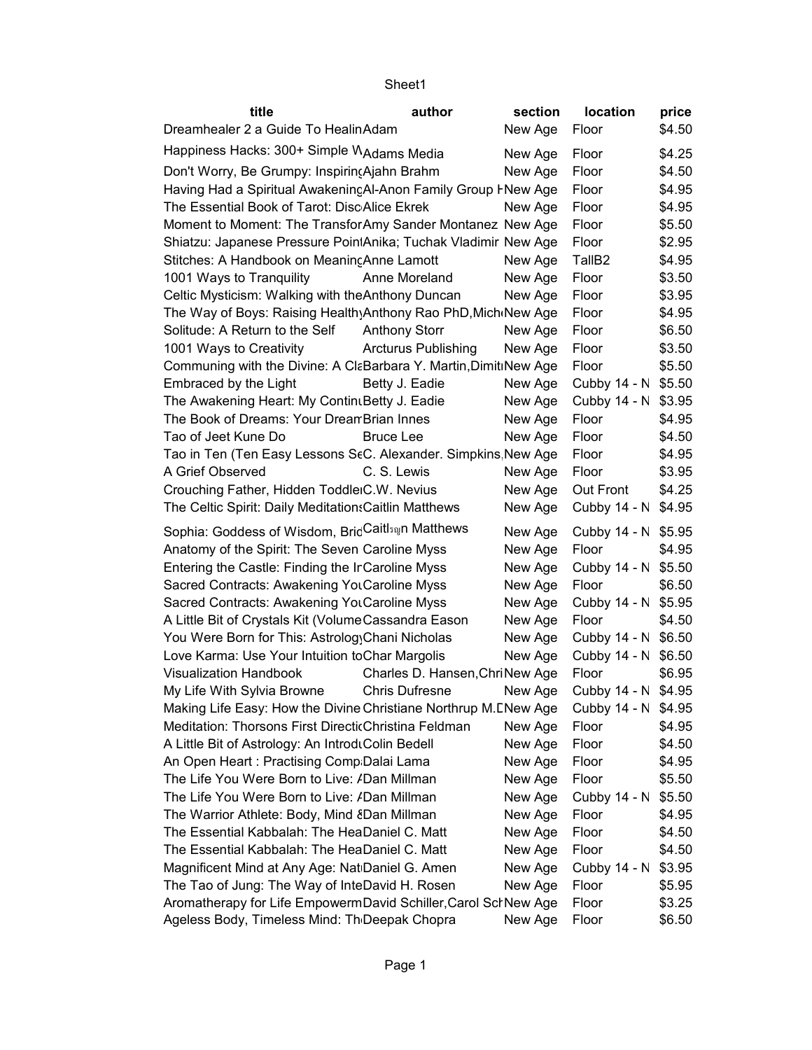| title                                                            | author                         | section | location            | price  |
|------------------------------------------------------------------|--------------------------------|---------|---------------------|--------|
| Dreamhealer 2 a Guide To HealinAdam                              |                                | New Age | Floor               | \$4.50 |
| Happiness Hacks: 300+ Simple MAdams Media                        |                                | New Age | Floor               | \$4.25 |
| Don't Worry, Be Grumpy: Inspiring Ajahn Brahm                    |                                | New Age | Floor               | \$4.50 |
| Having Had a Spiritual AwakenincAl-Anon Family Group FNew Age    |                                |         | Floor               | \$4.95 |
| The Essential Book of Tarot: DiscAlice Ekrek                     |                                | New Age | Floor               | \$4.95 |
| Moment to Moment: The Transfor Amy Sander Montanez New Age       |                                |         | Floor               | \$5.50 |
| Shiatzu: Japanese Pressure PointAnika; Tuchak Vladimir New Age   |                                |         | Floor               | \$2.95 |
| Stitches: A Handbook on Meaning Anne Lamott                      |                                | New Age | TallB <sub>2</sub>  | \$4.95 |
| 1001 Ways to Tranquility                                         | Anne Moreland                  | New Age | Floor               | \$3.50 |
| Celtic Mysticism: Walking with the Anthony Duncan                |                                | New Age | Floor               | \$3.95 |
| The Way of Boys: Raising Health Anthony Rao PhD, Mich New Age    |                                |         | Floor               | \$4.95 |
| Solitude: A Return to the Self                                   | <b>Anthony Storr</b>           | New Age | Floor               | \$6.50 |
| 1001 Ways to Creativity                                          | <b>Arcturus Publishing</b>     | New Age | Floor               | \$3.50 |
| Communing with the Divine: A CI&Barbara Y. Martin, DimitiNew Age |                                |         | Floor               | \$5.50 |
| Embraced by the Light                                            | Betty J. Eadie                 | New Age | Cubby 14 - N \$5.50 |        |
| The Awakening Heart: My Contin Betty J. Eadie                    |                                | New Age | Cubby 14 - N \$3.95 |        |
| The Book of Dreams: Your Drean Brian Innes                       |                                | New Age | Floor               | \$4.95 |
| Tao of Jeet Kune Do                                              | <b>Bruce Lee</b>               | New Age | Floor               | \$4.50 |
| Tao in Ten (Ten Easy Lessons StC. Alexander. Simpkins New Age    |                                |         | Floor               | \$4.95 |
| A Grief Observed                                                 | C. S. Lewis                    | New Age | Floor               | \$3.95 |
| Crouching Father, Hidden ToddleiC.W. Nevius                      |                                | New Age | Out Front           | \$4.25 |
| The Celtic Spirit: Daily Meditation: Caitlin Matthews            |                                | New Age | Cubby 14 - N \$4.95 |        |
| Sophia: Goddess of Wisdom, BricCaitls@n Matthews                 |                                | New Age | Cubby 14 - N \$5.95 |        |
| Anatomy of the Spirit: The Seven Caroline Myss                   |                                | New Age | Floor               | \$4.95 |
| Entering the Castle: Finding the Ir Caroline Myss                |                                | New Age | Cubby 14 - N \$5.50 |        |
| Sacred Contracts: Awakening Yol Caroline Myss                    |                                | New Age | Floor               | \$6.50 |
| Sacred Contracts: Awakening Yol Caroline Myss                    |                                | New Age | Cubby 14 - N \$5.95 |        |
| A Little Bit of Crystals Kit (Volume Cassandra Eason             |                                | New Age | Floor               | \$4.50 |
| You Were Born for This: Astrolog Chani Nicholas                  |                                | New Age | Cubby 14 - N \$6.50 |        |
| Love Karma: Use Your Intuition to Char Margolis                  |                                | New Age | Cubby 14 - N \$6.50 |        |
| <b>Visualization Handbook</b>                                    | Charles D. Hansen, ChriNew Age |         | Floor               | \$6.95 |
| My Life With Sylvia Browne                                       | <b>Chris Dufresne</b>          | New Age | Cubby 14 - N \$4.95 |        |
| Making Life Easy: How the Divine Christiane Northrup M. ENew Age |                                |         | Cubby 14 - N \$4.95 |        |
| Meditation: Thorsons First DirecticChristina Feldman             |                                | New Age | Floor               | \$4.95 |
| A Little Bit of Astrology: An IntroduColin Bedell                |                                | New Age | Floor               | \$4.50 |
| An Open Heart: Practising Comp Dalai Lama                        |                                | New Age | Floor               | \$4.95 |
| The Life You Were Born to Live: <i>I</i> Dan Millman             |                                | New Age | Floor               | \$5.50 |
| The Life You Were Born to Live: /Dan Millman                     |                                | New Age | Cubby 14 - N        | \$5.50 |
| The Warrior Athlete: Body, Mind ¿Dan Millman                     |                                | New Age | Floor               | \$4.95 |
| The Essential Kabbalah: The HeaDaniel C. Matt                    |                                | New Age | Floor               | \$4.50 |
| The Essential Kabbalah: The HeaDaniel C. Matt                    |                                | New Age | Floor               | \$4.50 |
| Magnificent Mind at Any Age: Nat Daniel G. Amen                  |                                | New Age | Cubby 14 - N        | \$3.95 |
| The Tao of Jung: The Way of InteDavid H. Rosen                   |                                | New Age | Floor               | \$5.95 |
| Aromatherapy for Life EmpowermDavid Schiller, Carol SchNew Age   |                                |         | Floor               | \$3.25 |
| Ageless Body, Timeless Mind: Th Deepak Chopra                    |                                | New Age | Floor               | \$6.50 |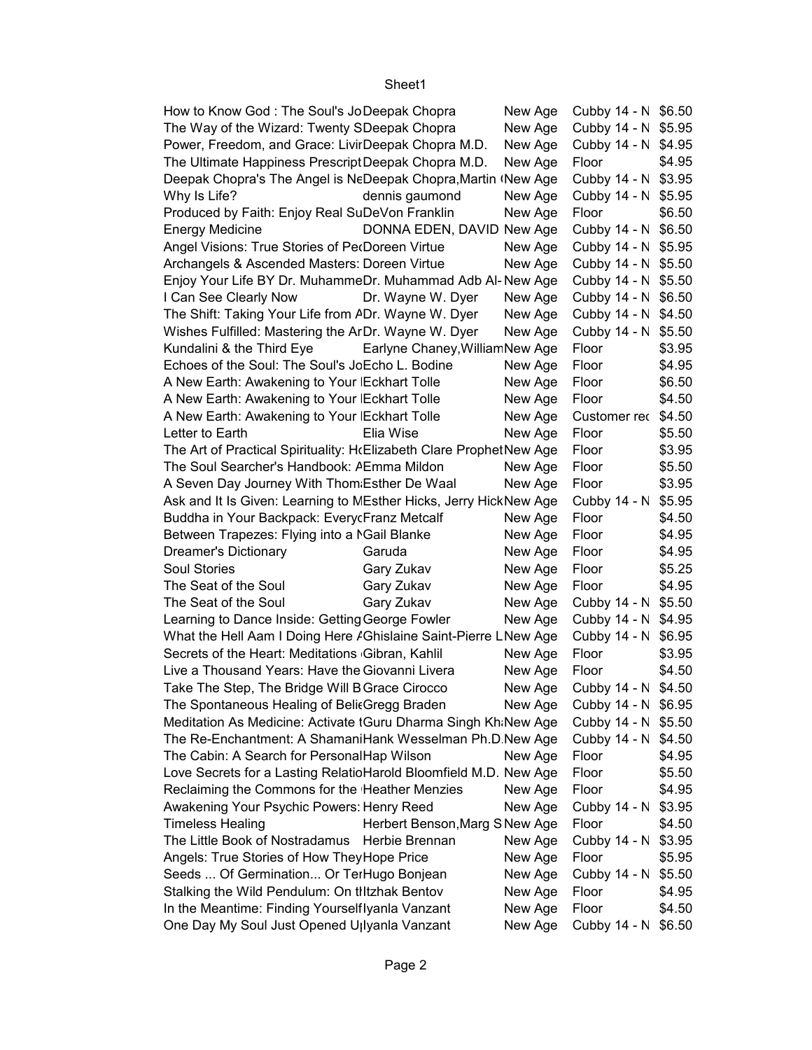| How to Know God: The Soul's JoDeepak Chopra                         |                                 | New Age | Cubby 14 - N \$6.50 |        |
|---------------------------------------------------------------------|---------------------------------|---------|---------------------|--------|
| The Way of the Wizard: Twenty SDeepak Chopra                        |                                 | New Age | Cubby 14 - N \$5.95 |        |
| Power, Freedom, and Grace: LivirDeepak Chopra M.D.                  |                                 | New Age | Cubby 14 - N \$4.95 |        |
| The Ultimate Happiness Prescript Deepak Chopra M.D.                 |                                 | New Age | Floor               | \$4.95 |
| Deepak Chopra's The Angel is NeDeepak Chopra, Martin (New Age       |                                 |         | Cubby 14 - N \$3.95 |        |
| Why Is Life?                                                        | dennis gaumond                  | New Age | Cubby 14 - N \$5.95 |        |
| Produced by Faith: Enjoy Real SuDeVon Franklin                      |                                 | New Age | Floor               | \$6.50 |
| <b>Energy Medicine</b>                                              | DONNA EDEN, DAVID New Age       |         | Cubby 14 - N \$6.50 |        |
| Angel Visions: True Stories of PerDoreen Virtue                     |                                 | New Age | Cubby 14 - N \$5.95 |        |
| Archangels & Ascended Masters: Doreen Virtue                        |                                 | New Age | Cubby 14 - N \$5.50 |        |
| Enjoy Your Life BY Dr. MuhammeDr. Muhammad Adb Al-New Age           |                                 |         | Cubby 14 - N \$5.50 |        |
| I Can See Clearly Now                                               | Dr. Wayne W. Dyer               | New Age | Cubby 14 - N \$6.50 |        |
| The Shift: Taking Your Life from ADr. Wayne W. Dyer                 |                                 | New Age | Cubby 14 - N \$4.50 |        |
| Wishes Fulfilled: Mastering the ArDr. Wayne W. Dyer                 |                                 | New Age | Cubby 14 - N \$5.50 |        |
| Kundalini & the Third Eye                                           | Earlyne Chaney, William New Age |         | Floor               | \$3.95 |
| Echoes of the Soul: The Soul's JoEcho L. Bodine                     |                                 | New Age | Floor               | \$4.95 |
| A New Earth: Awakening to Your   Eckhart Tolle                      |                                 | New Age | Floor               | \$6.50 |
| A New Earth: Awakening to Your   Eckhart Tolle                      |                                 | New Age | Floor               | \$4.50 |
| A New Earth: Awakening to Your   Eckhart Tolle                      |                                 | New Age | Customer rec \$4.50 |        |
| Letter to Earth                                                     | Elia Wise                       | New Age | Floor               | \$5.50 |
| The Art of Practical Spirituality: HcElizabeth Clare ProphetNew Age |                                 |         | Floor               | \$3.95 |
| The Soul Searcher's Handbook: AEmma Mildon                          |                                 | New Age | Floor               | \$5.50 |
| A Seven Day Journey With Thom Esther De Waal                        |                                 | New Age | Floor               | \$3.95 |
| Ask and It Is Given: Learning to MEsther Hicks, Jerry HickNew Age   |                                 |         | Cubby 14 - N \$5.95 |        |
| Buddha in Your Backpack: Every cFranz Metcalf                       |                                 | New Age | Floor               | \$4.50 |
| Between Trapezes: Flying into a MGail Blanke                        |                                 | New Age | Floor               | \$4.95 |
| <b>Dreamer's Dictionary</b>                                         | Garuda                          | New Age | Floor               | \$4.95 |
| Soul Stories                                                        | Gary Zukav                      | New Age | Floor               | \$5.25 |
| The Seat of the Soul                                                | Gary Zukav                      | New Age | Floor               | \$4.95 |
| The Seat of the Soul                                                | Gary Zukav                      | New Age | Cubby 14 - N \$5.50 |        |
| Learning to Dance Inside: Getting George Fowler                     |                                 | New Age | Cubby 14 - N \$4.95 |        |
| What the Hell Aam I Doing Here / Ghislaine Saint-Pierre LNew Age    |                                 |         | Cubby 14 - N \$6.95 |        |
| Secrets of the Heart: Meditations Gibran, Kahlil                    |                                 | New Age | Floor               | \$3.95 |
| Live a Thousand Years: Have the Giovanni Livera                     |                                 | New Age | Floor               | \$4.50 |
| Take The Step, The Bridge Will B Grace Cirocco                      |                                 | New Age | Cubby 14 - N \$4.50 |        |
| The Spontaneous Healing of Belit Gregg Braden                       |                                 | New Age | Cubby 14 - N \$6.95 |        |
| Meditation As Medicine: Activate tGuru Dharma Singh Kh:New Age      |                                 |         | Cubby 14 - N \$5.50 |        |
| The Re-Enchantment: A ShamaniHank Wesselman Ph.D.New Age            |                                 |         | Cubby 14 - N \$4.50 |        |
| The Cabin: A Search for PersonalHap Wilson                          |                                 | New Age | Floor               | \$4.95 |
| Love Secrets for a Lasting RelatioHarold Bloomfield M.D. New Age    |                                 |         | Floor               | \$5.50 |
| Reclaiming the Commons for the Heather Menzies                      |                                 | New Age | Floor               | \$4.95 |
| Awakening Your Psychic Powers: Henry Reed                           |                                 | New Age | Cubby 14 - N \$3.95 |        |
| <b>Timeless Healing</b>                                             | Herbert Benson, Marg S New Age  |         | Floor               | \$4.50 |
| The Little Book of Nostradamus                                      | Herbie Brennan                  | New Age | Cubby 14 - N \$3.95 |        |
| Angels: True Stories of How They Hope Price                         |                                 | New Age | Floor               | \$5.95 |
| Seeds  Of Germination Or TerHugo Bonjean                            |                                 | New Age | Cubby 14 - N \$5.50 |        |
| Stalking the Wild Pendulum: On tiltzhak Bentov                      |                                 | New Age | Floor               | \$4.95 |
| In the Meantime: Finding Yourselflyanla Vanzant                     |                                 | New Age | Floor               | \$4.50 |
| One Day My Soul Just Opened U <sub>llyanla</sub> Vanzant            |                                 | New Age | Cubby 14 - N \$6.50 |        |
|                                                                     |                                 |         |                     |        |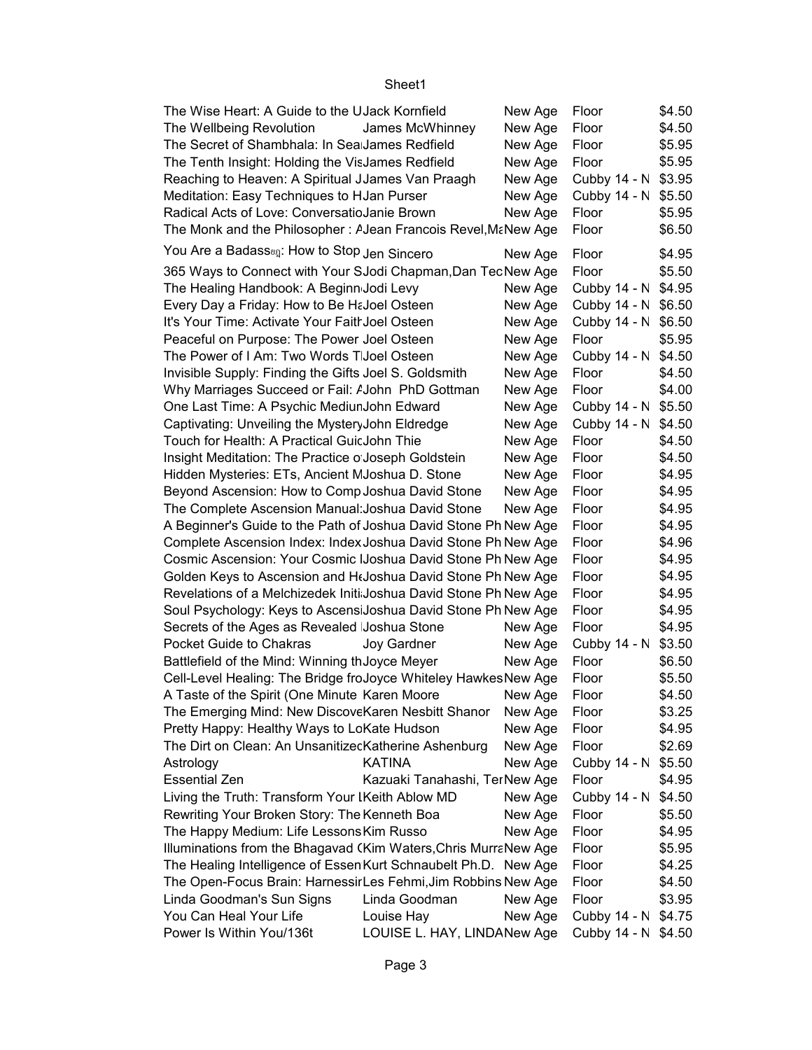| The Wise Heart: A Guide to the UJack Kornfield                       |                               | New Age       | Floor               | \$4.50           |
|----------------------------------------------------------------------|-------------------------------|---------------|---------------------|------------------|
| The Wellbeing Revolution                                             | James McWhinney               | New Age       | Floor               | \$4.50           |
| The Secret of Shambhala: In Sea James Redfield                       |                               | New Age       | Floor               | \$5.95           |
| The Tenth Insight: Holding the VisJames Redfield                     |                               | New Age       | Floor               | \$5.95           |
| Reaching to Heaven: A Spiritual JJames Van Praagh                    |                               | New Age       | Cubby 14 - N \$3.95 |                  |
| Meditation: Easy Techniques to HJan Purser                           |                               | New Age       | Cubby 14 - N \$5.50 |                  |
| Radical Acts of Love: ConversatioJanie Brown                         |                               | New Age       | Floor               | \$5.95           |
| The Monk and the Philosopher: A Jean Francois Revel, Ma New Age      |                               |               | Floor               | \$6.50           |
| You Are a Badass <sub><sup>01</sup>2</sub> : How to Stop Jen Sincero |                               | New Age       | Floor               | \$4.95           |
| 365 Ways to Connect with Your SJodi Chapman, Dan TecNew Age          |                               |               | Floor               | \$5.50           |
| The Healing Handbook: A Beginn Jodi Levy                             |                               |               | Cubby 14 - N \$4.95 |                  |
|                                                                      |                               | New Age       |                     |                  |
| Every Day a Friday: How to Be HaJoel Osteen                          |                               | New Age       | Cubby 14 - N \$6.50 |                  |
| It's Your Time: Activate Your Faith Joel Osteen                      |                               | New Age       | Cubby 14 - N \$6.50 |                  |
| Peaceful on Purpose: The Power Joel Osteen                           |                               | New Age       | Floor               | \$5.95           |
| The Power of I Am: Two Words T Joel Osteen                           |                               | New Age       | Cubby 14 - N \$4.50 |                  |
| Invisible Supply: Finding the Gifts Joel S. Goldsmith                |                               | New Age       | Floor               | \$4.50           |
| Why Marriages Succeed or Fail: <i>AJohn PhD Gottman</i>              |                               | New Age       | Floor               | \$4.00           |
| One Last Time: A Psychic MediunJohn Edward                           |                               | New Age       | Cubby 14 - N \$5.50 |                  |
| Captivating: Unveiling the MysteryJohn Eldredge                      |                               | New Age       | Cubby 14 - N \$4.50 |                  |
| Touch for Health: A Practical GuicJohn Thie                          |                               | New Age       | Floor               | \$4.50           |
| Insight Meditation: The Practice o Joseph Goldstein                  |                               | New Age       | Floor               | \$4.50           |
| Hidden Mysteries: ETs, Ancient MJoshua D. Stone                      |                               | New Age       | Floor               | \$4.95           |
| Beyond Ascension: How to Comp Joshua David Stone                     |                               | New Age       | Floor               | \$4.95           |
| The Complete Ascension Manual: Joshua David Stone                    |                               | New Age       | Floor               | \$4.95           |
| A Beginner's Guide to the Path of Joshua David Stone Ph New Age      |                               |               | Floor               | \$4.95           |
| Complete Ascension Index: Index Joshua David Stone Ph New Age        |                               |               | Floor               |                  |
| Cosmic Ascension: Your Cosmic IJoshua David Stone Ph New Age         |                               |               | Floor               | \$4.96<br>\$4.95 |
| Golden Keys to Ascension and HtJoshua David Stone Ph New Age         |                               |               | Floor               |                  |
|                                                                      |                               |               |                     | \$4.95           |
| Revelations of a Melchizedek Initi Joshua David Stone Ph New Age     |                               |               | Floor               | \$4.95           |
| Soul Psychology: Keys to AscensiJoshua David Stone Ph New Age        |                               |               | Floor               | \$4.95           |
| Secrets of the Ages as Revealed Joshua Stone                         |                               | New Age       | Floor               | \$4.95           |
| Pocket Guide to Chakras                                              | Joy Gardner                   | New Age       | Cubby 14 - N \$3.50 |                  |
| Battlefield of the Mind: Winning th Joyce Meyer                      |                               | New Age       | Floor               | \$6.50           |
| Cell-Level Healing: The Bridge froJoyce Whiteley HawkesNew Age       |                               |               | <b>Hoor</b>         | \$5.50           |
| A Taste of the Spirit (One Minute Karen Moore                        |                               | New Age Floor |                     | \$4.50           |
| The Emerging Mind: New DiscoveKaren Nesbitt Shanor                   |                               | New Age       | Floor               | \$3.25           |
| Pretty Happy: Healthy Ways to LoKate Hudson                          |                               | New Age       | Floor               | \$4.95           |
| The Dirt on Clean: An UnsanitizecKatherine Ashenburg                 |                               | New Age       | Floor               | \$2.69           |
| Astrology                                                            | <b>KATINA</b>                 | New Age       | Cubby 14 - N \$5.50 |                  |
| <b>Essential Zen</b>                                                 | Kazuaki Tanahashi, TerNew Age |               | Floor               | \$4.95           |
| Living the Truth: Transform Your IKeith Ablow MD                     |                               | New Age       | Cubby 14 - N \$4.50 |                  |
| Rewriting Your Broken Story: The Kenneth Boa                         |                               | New Age       | Floor               | \$5.50           |
| The Happy Medium: Life Lessons Kim Russo                             |                               | New Age       | Floor               | \$4.95           |
| Illuminations from the Bhagavad (Kim Waters, Chris MurraNew Age      |                               |               | Floor               | \$5.95           |
|                                                                      |                               |               |                     |                  |
| The Healing Intelligence of Essen Kurt Schnaubelt Ph.D. New Age      |                               |               | Floor               | \$4.25           |
| The Open-Focus Brain: HarnessirLes Fehmi, Jim Robbins New Age        |                               |               | Floor               | \$4.50           |
| Linda Goodman's Sun Signs                                            | Linda Goodman                 | New Age       | Floor               | \$3.95           |
| You Can Heal Your Life                                               | Louise Hay                    | New Age       | Cubby 14 - N \$4.75 |                  |
| Power Is Within You/136t                                             | LOUISE L. HAY, LINDANew Age   |               | Cubby 14 - N \$4.50 |                  |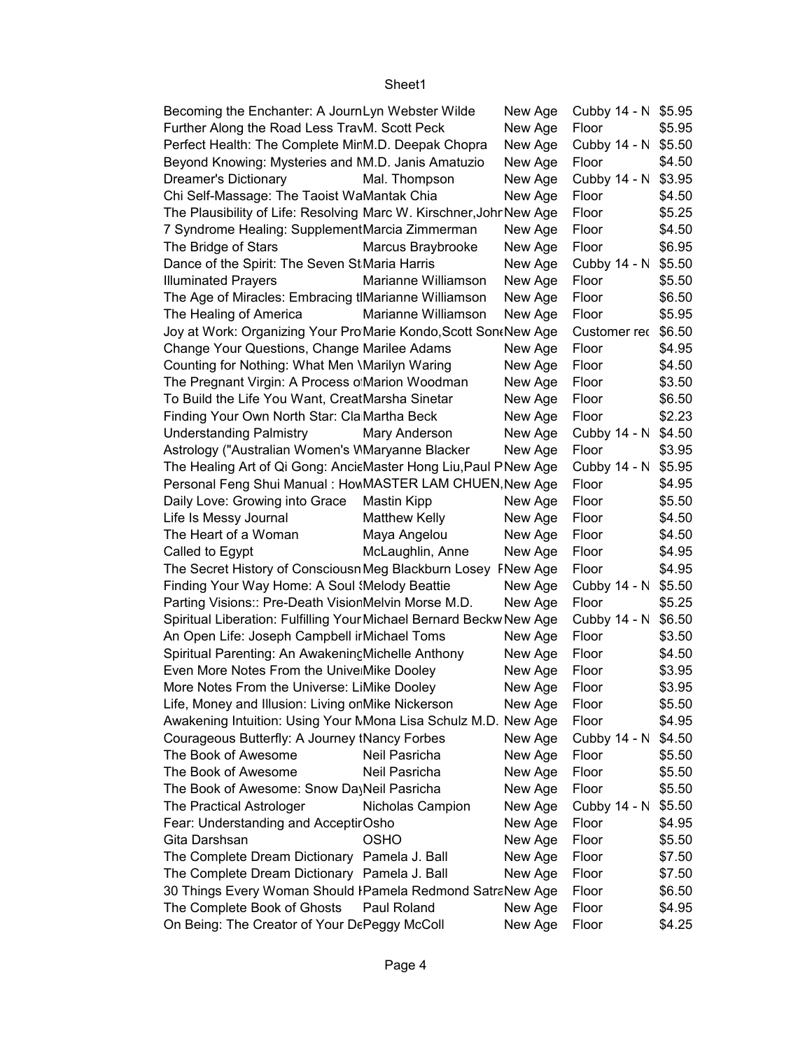| Becoming the Enchanter: A JournLyn Webster Wilde                    |                      | New Age | Cubby 14 - N \$5.95 |        |
|---------------------------------------------------------------------|----------------------|---------|---------------------|--------|
| Further Along the Road Less TravM. Scott Peck                       |                      | New Age | Floor               | \$5.95 |
| Perfect Health: The Complete MirM.D. Deepak Chopra                  |                      | New Age | Cubby 14 - N \$5.50 |        |
| Beyond Knowing: Mysteries and NM.D. Janis Amatuzio                  |                      | New Age | Floor               | \$4.50 |
| Dreamer's Dictionary                                                | Mal. Thompson        | New Age | Cubby 14 - N        | \$3.95 |
| Chi Self-Massage: The Taoist WaMantak Chia                          |                      | New Age | Floor               | \$4.50 |
| The Plausibility of Life: Resolving Marc W. Kirschner, Johr New Age |                      |         | Floor               | \$5.25 |
| 7 Syndrome Healing: SupplementMarcia Zimmerman                      |                      | New Age | Floor               | \$4.50 |
| The Bridge of Stars                                                 | Marcus Braybrooke    | New Age | Floor               | \$6.95 |
| Dance of the Spirit: The Seven St Maria Harris                      |                      | New Age | Cubby 14 - N        | \$5.50 |
| <b>Illuminated Prayers</b>                                          | Marianne Williamson  | New Age | Floor               | \$5.50 |
| The Age of Miracles: Embracing tlMarianne Williamson                |                      | New Age | Floor               | \$6.50 |
| The Healing of America                                              | Marianne Williamson  | New Age | Floor               | \$5.95 |
| Joy at Work: Organizing Your Pro Marie Kondo, Scott Son New Age     |                      |         | Customer rec \$6.50 |        |
| Change Your Questions, Change Marilee Adams                         |                      | New Age | Floor               | \$4.95 |
| Counting for Nothing: What Men \Marilyn Waring                      |                      | New Age | Floor               | \$4.50 |
| The Pregnant Virgin: A Process o Marion Woodman                     |                      | New Age | Floor               | \$3.50 |
| To Build the Life You Want, CreatMarsha Sinetar                     |                      | New Age | Floor               | \$6.50 |
| Finding Your Own North Star: Cla Martha Beck                        |                      | New Age | Floor               | \$2.23 |
| <b>Understanding Palmistry</b>                                      | Mary Anderson        | New Age | Cubby 14 - N \$4.50 |        |
| Astrology ("Australian Women's WMaryanne Blacker                    |                      | New Age | Floor               | \$3.95 |
| The Healing Art of Qi Gong: AncicMaster Hong Liu, Paul PNew Age     |                      |         | Cubby 14 - N \$5.95 |        |
| Personal Feng Shui Manual: HowMASTER LAM CHUEN, New Age             |                      |         | Floor               | \$4.95 |
| Daily Love: Growing into Grace                                      | <b>Mastin Kipp</b>   | New Age | Floor               | \$5.50 |
| Life Is Messy Journal                                               | <b>Matthew Kelly</b> | New Age | Floor               | \$4.50 |
| The Heart of a Woman                                                | Maya Angelou         | New Age | Floor               | \$4.50 |
| Called to Egypt                                                     | McLaughlin, Anne     | New Age | Floor               | \$4.95 |
| The Secret History of Consciousn Meg Blackburn Losey FNew Age       |                      |         | Floor               | \$4.95 |
| Finding Your Way Home: A Soul (Melody Beattie                       |                      | New Age | Cubby 14 - N \$5.50 |        |
| Parting Visions:: Pre-Death VisionMelvin Morse M.D.                 |                      | New Age | Floor               | \$5.25 |
| Spiritual Liberation: Fulfilling Your Michael Bernard Beckw New Age |                      |         | Cubby 14 - N        | \$6.50 |
| An Open Life: Joseph Campbell ir Michael Toms                       |                      | New Age | Floor               | \$3.50 |
| Spiritual Parenting: An Awakening Michelle Anthony                  |                      | New Age | Floor               | \$4.50 |
| Even More Notes From the Unive Mike Dooley                          |                      | New Age | Floor               | \$3.95 |
| More Notes From the Universe: LiMike Dooley                         |                      | New Age | Floor               | \$3.95 |
| Life, Money and Illusion: Living on Mike Nickerson                  |                      | New Age | Floor               | \$5.50 |
| Awakening Intuition: Using Your MMona Lisa Schulz M.D. New Age      |                      |         | Floor               | \$4.95 |
| Courageous Butterfly: A Journey tNancy Forbes                       |                      | New Age | Cubby 14 - N        | \$4.50 |
| The Book of Awesome                                                 | Neil Pasricha        | New Age | Floor               | \$5.50 |
| The Book of Awesome                                                 | Neil Pasricha        | New Age | Floor               | \$5.50 |
| The Book of Awesome: Snow DayNeil Pasricha                          |                      | New Age | Floor               | \$5.50 |
| <b>The Practical Astrologer</b>                                     | Nicholas Campion     | New Age | Cubby 14 - N        | \$5.50 |
| Fear: Understanding and AcceptirOsho                                |                      | New Age | Floor               | \$4.95 |
| Gita Darshsan                                                       | <b>OSHO</b>          |         | Floor               | \$5.50 |
|                                                                     |                      | New Age | Floor               |        |
| The Complete Dream Dictionary Pamela J. Ball                        |                      | New Age | Floor               | \$7.50 |
| The Complete Dream Dictionary Pamela J. Ball                        |                      | New Age |                     | \$7.50 |
| 30 Things Every Woman Should IPamela Redmond SatraNew Age           |                      |         | Floor               | \$6.50 |
| The Complete Book of Ghosts                                         | Paul Roland          | New Age | Floor               | \$4.95 |
| On Being: The Creator of Your DePeggy McColl                        |                      | New Age | Floor               | \$4.25 |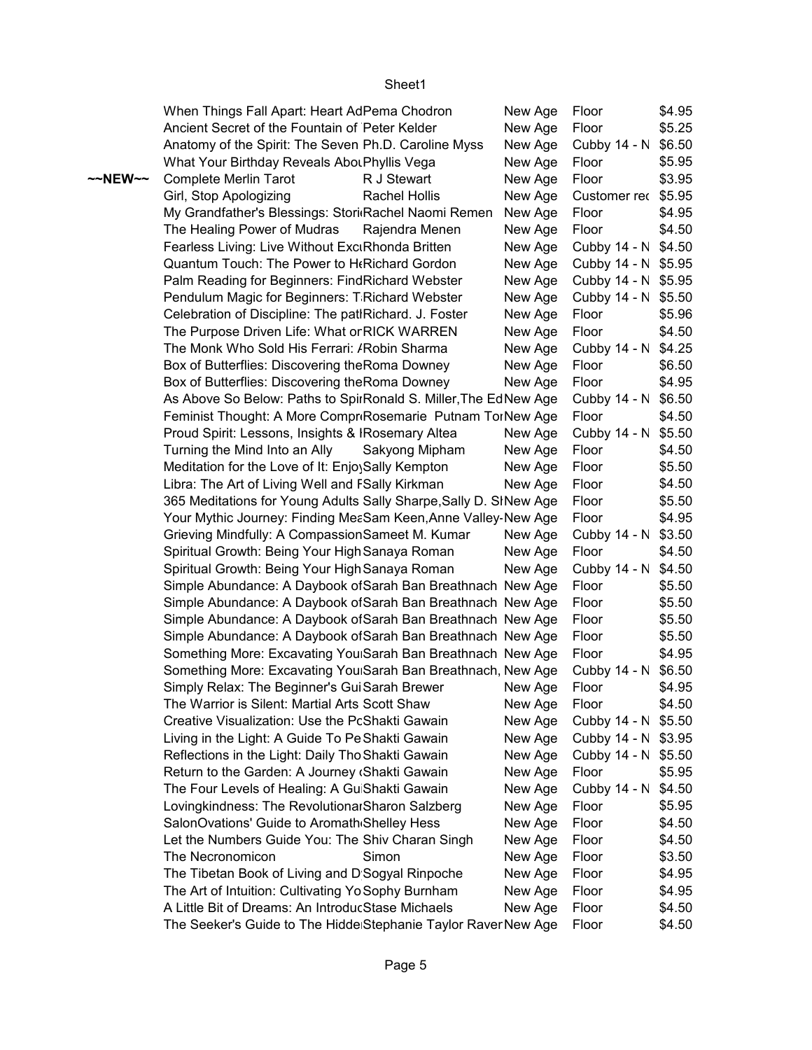|         | When Things Fall Apart: Heart AdPema Chodron                      |                | New Age | Floor               | \$4.95 |
|---------|-------------------------------------------------------------------|----------------|---------|---------------------|--------|
|         | Ancient Secret of the Fountain of Peter Kelder                    |                | New Age | Floor               | \$5.25 |
|         | Anatomy of the Spirit: The Seven Ph.D. Caroline Myss              |                | New Age | Cubby 14 - N \$6.50 |        |
|         | What Your Birthday Reveals Abou Phyllis Vega                      |                | New Age | Floor               | \$5.95 |
| ~~NEW~~ | Complete Merlin Tarot                                             | R J Stewart    | New Age | Floor               | \$3.95 |
|         | Girl, Stop Apologizing                                            | Rachel Hollis  | New Age | Customer rec \$5.95 |        |
|         | My Grandfather's Blessings: Stori Rachel Naomi Remen              |                | New Age | Floor               | \$4.95 |
|         | The Healing Power of Mudras                                       | Rajendra Menen | New Age | Floor               | \$4.50 |
|         | Fearless Living: Live Without ExciRhonda Britten                  |                | New Age | Cubby 14 - N \$4.50 |        |
|         | Quantum Touch: The Power to H <sub>f</sub> Richard Gordon         |                | New Age | Cubby 14 - N \$5.95 |        |
|         | Palm Reading for Beginners: FindRichard Webster                   |                | New Age | Cubby 14 - N \$5.95 |        |
|         | Pendulum Magic for Beginners: T Richard Webster                   |                | New Age | Cubby 14 - N \$5.50 |        |
|         | Celebration of Discipline: The patlRichard. J. Foster             |                | New Age | Floor               | \$5.96 |
|         | The Purpose Driven Life: What or RICK WARREN                      |                | New Age | Floor               | \$4.50 |
|         | The Monk Who Sold His Ferrari: / Robin Sharma                     |                | New Age | Cubby 14 - N \$4.25 |        |
|         | Box of Butterflies: Discovering the Roma Downey                   |                | New Age | Floor               | \$6.50 |
|         | Box of Butterflies: Discovering the Roma Downey                   |                | New Age | Floor               | \$4.95 |
|         | As Above So Below: Paths to SpirRonald S. Miller, The EdNew Age   |                |         | Cubby 14 - N \$6.50 |        |
|         | Feminist Thought: A More CompriRosemarie Putnam TorNew Age        |                |         | Floor               | \$4.50 |
|         | Proud Spirit: Lessons, Insights & IRosemary Altea                 |                | New Age | Cubby 14 - N \$5.50 |        |
|         | Turning the Mind Into an Ally                                     | Sakyong Mipham | New Age | Floor               | \$4.50 |
|         | Meditation for the Love of It: EnjoySally Kempton                 |                | New Age | Floor               | \$5.50 |
|         | Libra: The Art of Living Well and FSally Kirkman                  |                | New Age | Floor               | \$4.50 |
|         | 365 Meditations for Young Adults Sally Sharpe, Sally D. SINew Age |                |         | Floor               | \$5.50 |
|         | Your Mythic Journey: Finding MeaSam Keen, Anne Valley-New Age     |                |         | Floor               | \$4.95 |
|         | Grieving Mindfully: A CompassionSameet M. Kumar                   |                | New Age | Cubby 14 - N \$3.50 |        |
|         | Spiritual Growth: Being Your High Sanaya Roman                    |                | New Age | Floor               | \$4.50 |
|         | Spiritual Growth: Being Your High Sanaya Roman                    |                | New Age | Cubby 14 - N \$4.50 |        |
|         | Simple Abundance: A Daybook of Sarah Ban Breathnach New Age       |                |         | Floor               | \$5.50 |
|         | Simple Abundance: A Daybook of Sarah Ban Breathnach New Age       |                |         | Floor               | \$5.50 |
|         | Simple Abundance: A Daybook of Sarah Ban Breathnach New Age       |                |         | Floor               | \$5.50 |
|         | Simple Abundance: A Daybook of Sarah Ban Breathnach New Age       |                |         | Floor               | \$5.50 |
|         | Something More: Excavating You Sarah Ban Breathnach New Age       |                |         | Floor               | \$4.95 |
|         | Something More: Excavating You Sarah Ban Breathnach, New Age      |                |         | Cubby 14 - N \$6.50 |        |
|         | Simply Relax: The Beginner's Gui Sarah Brewer                     |                | New Age | Floor               | \$4.95 |
|         | The Warrior is Silent: Martial Arts Scott Shaw                    |                | New Age | Floor               | \$4.50 |
|         | Creative Visualization: Use the PcShakti Gawain                   |                | New Age | Cubby 14 - N \$5.50 |        |
|         | Living in the Light: A Guide To Pe Shakti Gawain                  |                | New Age | Cubby 14 - N \$3.95 |        |
|         | Reflections in the Light: Daily Tho Shakti Gawain                 |                | New Age | Cubby 14 - N \$5.50 |        |
|         | Return to the Garden: A Journey (Shakti Gawain                    |                | New Age | Floor               | \$5.95 |
|         | The Four Levels of Healing: A Gu Shakti Gawain                    |                | New Age | Cubby 14 - N \$4.50 |        |
|         | Lovingkindness: The RevolutionarSharon Salzberg                   |                | New Age | Floor               | \$5.95 |
|         | SalonOvations' Guide to Aromath Shelley Hess                      |                | New Age | Floor               | \$4.50 |
|         | Let the Numbers Guide You: The Shiv Charan Singh                  |                | New Age | Floor               | \$4.50 |
|         | The Necronomicon                                                  | Simon          | New Age | Floor               | \$3.50 |
|         | The Tibetan Book of Living and D Sogyal Rinpoche                  |                | New Age | Floor               | \$4.95 |
|         | The Art of Intuition: Cultivating Yo Sophy Burnham                |                | New Age | Floor               | \$4.95 |
|         | A Little Bit of Dreams: An IntroducStase Michaels                 |                | New Age | Floor               | \$4.50 |
|         | The Seeker's Guide to The Hidde Stephanie Taylor RaverNew Age     |                |         | Floor               | \$4.50 |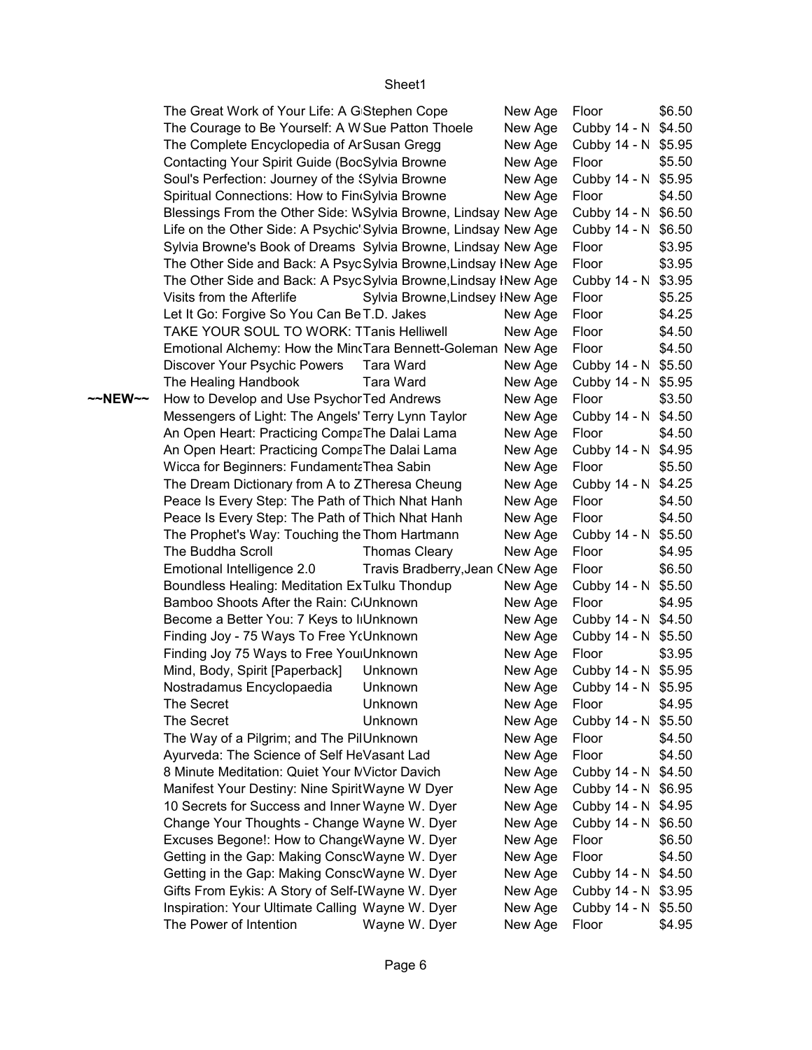|         | The Great Work of Your Life: A G Stephen Cope                     |                                 | New Age | Floor               | \$6.50 |
|---------|-------------------------------------------------------------------|---------------------------------|---------|---------------------|--------|
|         | The Courage to Be Yourself: A W Sue Patton Thoele                 |                                 | New Age | Cubby 14 - N \$4.50 |        |
|         | The Complete Encyclopedia of Ar Susan Gregg                       |                                 | New Age | Cubby 14 - N \$5.95 |        |
|         | Contacting Your Spirit Guide (BocSylvia Browne                    |                                 | New Age | Floor               | \$5.50 |
|         | Soul's Perfection: Journey of the 'Sylvia Browne                  |                                 | New Age | Cubby 14 - N \$5.95 |        |
|         | Spiritual Connections: How to Fin(Sylvia Browne                   |                                 | New Age | Floor               | \$4.50 |
|         | Blessings From the Other Side: WSylvia Browne, Lindsay New Age    |                                 |         | Cubby 14 - N \$6.50 |        |
|         | Life on the Other Side: A Psychic' Sylvia Browne, Lindsay New Age |                                 |         | Cubby 14 - N \$6.50 |        |
|         | Sylvia Browne's Book of Dreams Sylvia Browne, Lindsay New Age     |                                 |         | Floor               | \$3.95 |
|         | The Other Side and Back: A Psyc Sylvia Browne, Lindsay INew Age   |                                 |         | Floor               | \$3.95 |
|         | The Other Side and Back: A PsycSylvia Browne, Lindsay INew Age    |                                 |         | Cubby 14 - N \$3.95 |        |
|         | Visits from the Afterlife                                         | Sylvia Browne, Lindsey INew Age |         | Floor               | \$5.25 |
|         | Let It Go: Forgive So You Can Be T.D. Jakes                       |                                 | New Age | Floor               | \$4.25 |
|         | TAKE YOUR SOUL TO WORK: TTanis Helliwell                          |                                 | New Age | Floor               | \$4.50 |
|         | Emotional Alchemy: How the Min(Tara Bennett-Goleman New Age       |                                 |         | Floor               | \$4.50 |
|         | Discover Your Psychic Powers                                      | Tara Ward                       | New Age | Cubby 14 - N \$5.50 |        |
|         | The Healing Handbook                                              | <b>Tara Ward</b>                | New Age | Cubby 14 - N \$5.95 |        |
| ~~NEW~~ | How to Develop and Use Psychor Ted Andrews                        |                                 | New Age | Floor               | \$3.50 |
|         | Messengers of Light: The Angels' Terry Lynn Taylor                |                                 | New Age | Cubby 14 - N \$4.50 |        |
|         | An Open Heart: Practicing CompaThe Dalai Lama                     |                                 | New Age | Floor               | \$4.50 |
|         | An Open Heart: Practicing CompaThe Dalai Lama                     |                                 | New Age | Cubby 14 - N \$4.95 |        |
|         | Wicca for Beginners: Fundament Thea Sabin                         |                                 | New Age | Floor               | \$5.50 |
|         | The Dream Dictionary from A to ZTheresa Cheung                    |                                 | New Age | Cubby 14 - N \$4.25 |        |
|         | Peace Is Every Step: The Path of Thich Nhat Hanh                  |                                 | New Age | Floor               | \$4.50 |
|         | Peace Is Every Step: The Path of Thich Nhat Hanh                  |                                 | New Age | Floor               | \$4.50 |
|         | The Prophet's Way: Touching the Thom Hartmann                     |                                 | New Age | Cubby 14 - N \$5.50 |        |
|         | The Buddha Scroll                                                 | <b>Thomas Cleary</b>            | New Age | Floor               | \$4.95 |
|         | Emotional Intelligence 2.0                                        | Travis Bradberry, Jean CNew Age |         | Floor               | \$6.50 |
|         | Boundless Healing: Meditation ExTulku Thondup                     |                                 | New Age | Cubby 14 - N \$5.50 |        |
|         | Bamboo Shoots After the Rain: C <sub>Unknown</sub>                |                                 | New Age | Floor               | \$4.95 |
|         | Become a Better You: 7 Keys to I Unknown                          |                                 | New Age | Cubby 14 - N \$4.50 |        |
|         | Finding Joy - 75 Ways To Free Y(Unknown                           |                                 | New Age | Cubby 14 - N \$5.50 |        |
|         | Finding Joy 75 Ways to Free You Unknown                           |                                 | New Age | Floor               | \$3.95 |
|         | Mind, Body, Spirit [Paperback]                                    | Unknown                         | New Age | Cubby 14 - N \$5.95 |        |
|         | Nostradamus Encyclopaedia                                         | Unknown                         | New Age | Cubby 14 - N \$5.95 |        |
|         | The Secret                                                        | Unknown                         | New Age | Floor               | \$4.95 |
|         | The Secret                                                        | Unknown                         | New Age | Cubby 14 - N \$5.50 |        |
|         | The Way of a Pilgrim; and The PilUnknown                          |                                 | New Age | Floor               | \$4.50 |
|         | Ayurveda: The Science of Self HeVasant Lad                        |                                 | New Age | Floor               | \$4.50 |
|         | 8 Minute Meditation: Quiet Your MVictor Davich                    |                                 | New Age | Cubby 14 - N \$4.50 |        |
|         | Manifest Your Destiny: Nine SpiritWayne W Dyer                    |                                 | New Age | Cubby 14 - N \$6.95 |        |
|         | 10 Secrets for Success and Inner Wayne W. Dyer                    |                                 | New Age | Cubby 14 - N \$4.95 |        |
|         | Change Your Thoughts - Change Wayne W. Dyer                       |                                 | New Age | Cubby 14 - N \$6.50 |        |
|         | Excuses Begone!: How to ChangeWayne W. Dyer                       |                                 | New Age | Floor               | \$6.50 |
|         | Getting in the Gap: Making ConscWayne W. Dyer                     |                                 | New Age | Floor               | \$4.50 |
|         | Getting in the Gap: Making ConscWayne W. Dyer                     |                                 | New Age | Cubby 14 - N \$4.50 |        |
|         | Gifts From Eykis: A Story of Self-IWayne W. Dyer                  |                                 | New Age | Cubby 14 - N \$3.95 |        |
|         | Inspiration: Your Ultimate Calling Wayne W. Dyer                  |                                 | New Age | Cubby 14 - N \$5.50 |        |
|         | The Power of Intention                                            | Wayne W. Dyer                   | New Age | Floor               | \$4.95 |